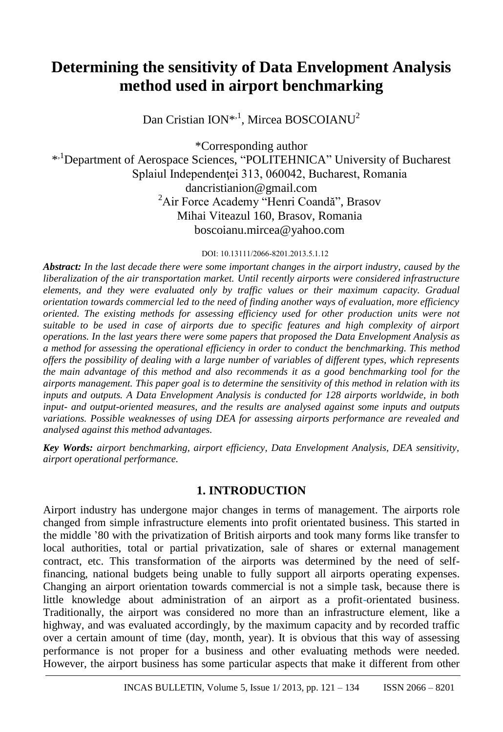# **Determining the sensitivity of Data Envelopment Analysis method used in airport benchmarking**

Dan Cristian ION<sup>\*,1</sup>, Mircea BOSCOIANU<sup>2</sup>

\*Corresponding author \* ,1Department of Aerospace Sciences, "POLITEHNICA" University of Bucharest Splaiul Independenței 313, 060042, Bucharest, Romania dancristianion@gmail.com <sup>2</sup>Air Force Academy "Henri Coandă", Brasov Mihai Viteazul 160, Brasov, Romania boscoianu.mircea@yahoo.com

#### DOI: 10.13111/2066-8201.2013.5.1.12

*Abstract: In the last decade there were some important changes in the airport industry, caused by the liberalization of the air transportation market. Until recently airports were considered infrastructure elements, and they were evaluated only by traffic values or their maximum capacity. Gradual orientation towards commercial led to the need of finding another ways of evaluation, more efficiency oriented. The existing methods for assessing efficiency used for other production units were not suitable to be used in case of airports due to specific features and high complexity of airport operations. In the last years there were some papers that proposed the Data Envelopment Analysis as a method for assessing the operational efficiency in order to conduct the benchmarking. This method offers the possibility of dealing with a large number of variables of different types, which represents the main advantage of this method and also recommends it as a good benchmarking tool for the airports management. This paper goal is to determine the sensitivity of this method in relation with its inputs and outputs. A Data Envelopment Analysis is conducted for 128 airports worldwide, in both input- and output-oriented measures, and the results are analysed against some inputs and outputs variations. Possible weaknesses of using DEA for assessing airports performance are revealed and analysed against this method advantages.*

*Key Words: airport benchmarking, airport efficiency, Data Envelopment Analysis, DEA sensitivity, airport operational performance.*

## **1. INTRODUCTION**

Airport industry has undergone major changes in terms of management. The airports role changed from simple infrastructure elements into profit orientated business. This started in the middle '80 with the privatization of British airports and took many forms like transfer to local authorities, total or partial privatization, sale of shares or external management contract, etc. This transformation of the airports was determined by the need of selffinancing, national budgets being unable to fully support all airports operating expenses. Changing an airport orientation towards commercial is not a simple task, because there is little knowledge about administration of an airport as a profit-orientated business. Traditionally, the airport was considered no more than an infrastructure element, like a highway, and was evaluated accordingly, by the maximum capacity and by recorded traffic over a certain amount of time (day, month, year). It is obvious that this way of assessing performance is not proper for a business and other evaluating methods were needed. However, the airport business has some particular aspects that make it different from other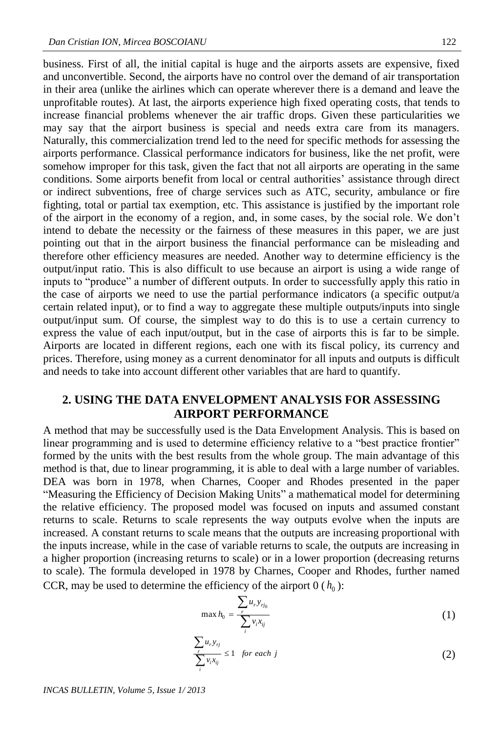business. First of all, the initial capital is huge and the airports assets are expensive, fixed and unconvertible. Second, the airports have no control over the demand of air transportation in their area (unlike the airlines which can operate wherever there is a demand and leave the unprofitable routes). At last, the airports experience high fixed operating costs, that tends to increase financial problems whenever the air traffic drops. Given these particularities we may say that the airport business is special and needs extra care from its managers. Naturally, this commercialization trend led to the need for specific methods for assessing the airports performance. Classical performance indicators for business, like the net profit, were somehow improper for this task, given the fact that not all airports are operating in the same conditions. Some airports benefit from local or central authorities' assistance through direct or indirect subventions, free of charge services such as ATC, security, ambulance or fire fighting, total or partial tax exemption, etc. This assistance is justified by the important role of the airport in the economy of a region, and, in some cases, by the social role. We don't intend to debate the necessity or the fairness of these measures in this paper, we are just pointing out that in the airport business the financial performance can be misleading and therefore other efficiency measures are needed. Another way to determine efficiency is the output/input ratio. This is also difficult to use because an airport is using a wide range of inputs to "produce" a number of different outputs. In order to successfully apply this ratio in the case of airports we need to use the partial performance indicators (a specific output/a certain related input), or to find a way to aggregate these multiple outputs/inputs into single output/input sum. Of course, the simplest way to do this is to use a certain currency to express the value of each input/output, but in the case of airports this is far to be simple. Airports are located in different regions, each one with its fiscal policy, its currency and prices. Therefore, using money as a current denominator for all inputs and outputs is difficult and needs to take into account different other variables that are hard to quantify.

## **2. USING THE DATA ENVELOPMENT ANALYSIS FOR ASSESSING AIRPORT PERFORMANCE**

A method that may be successfully used is the Data Envelopment Analysis. This is based on linear programming and is used to determine efficiency relative to a "best practice frontier" formed by the units with the best results from the whole group. The main advantage of this method is that, due to linear programming, it is able to deal with a large number of variables. DEA was born in 1978, when Charnes, Cooper and Rhodes presented in the paper "Measuring the Efficiency of Decision Making Units" a mathematical model for determining the relative efficiency. The proposed model was focused on inputs and assumed constant returns to scale. Returns to scale represents the way outputs evolve when the inputs are increased. A constant returns to scale means that the outputs are increasing proportional with the inputs increase, while in the case of variable returns to scale, the outputs are increasing in a higher proportion (increasing returns to scale) or in a lower proportion (decreasing returns to scale). The formula developed in 1978 by Charnes, Cooper and Rhodes, further named CCR, may be used to determine the efficiency of the airport  $0(h_0)$ :

$$
\max h_0 = \frac{\sum_i u_i y_{rj_0}}{\sum_i v_i x_{ij}} \tag{1}
$$

$$
\frac{\sum_{r} u_{r} y_{rj}}{\sum_{i} v_{i} x_{ij}} \le 1 \quad \text{for each } j \tag{2}
$$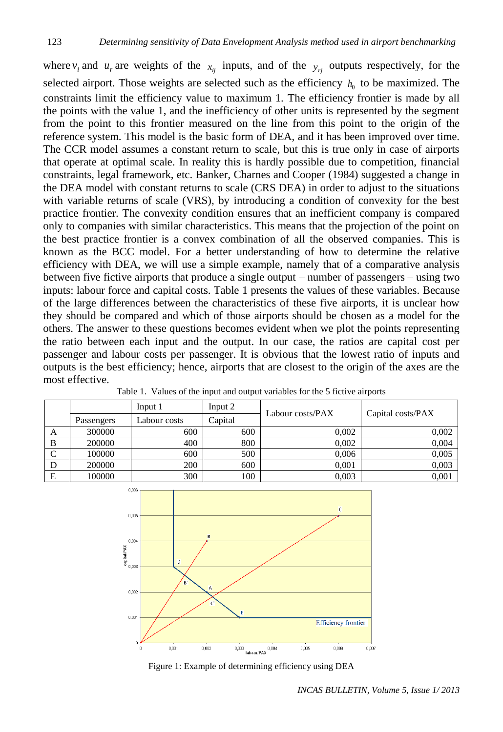where  $v_i$  and  $u_r$  are weights of the  $x_{ij}$  inputs, and of the  $y_{rj}$  outputs respectively, for the selected airport. Those weights are selected such as the efficiency  $h_0$  to be maximized. The constraints limit the efficiency value to maximum 1. The efficiency frontier is made by all the points with the value 1, and the inefficiency of other units is represented by the segment from the point to this frontier measured on the line from this point to the origin of the reference system. This model is the basic form of DEA, and it has been improved over time. The CCR model assumes a constant return to scale, but this is true only in case of airports that operate at optimal scale. In reality this is hardly possible due to competition, financial constraints, legal framework, etc. Banker, Charnes and Cooper (1984) suggested a change in the DEA model with constant returns to scale (CRS DEA) in order to adjust to the situations with variable returns of scale (VRS), by introducing a condition of convexity for the best practice frontier. The convexity condition ensures that an inefficient company is compared only to companies with similar characteristics. This means that the projection of the point on the best practice frontier is a convex combination of all the observed companies. This is known as the BCC model. For a better understanding of how to determine the relative efficiency with DEA, we will use a simple example, namely that of a comparative analysis between five fictive airports that produce a single output – number of passengers – using two inputs: labour force and capital costs. Table 1 presents the values of these variables. Because of the large differences between the characteristics of these five airports, it is unclear how they should be compared and which of those airports should be chosen as a model for the others. The answer to these questions becomes evident when we plot the points representing the ratio between each input and the output. In our case, the ratios are capital cost per passenger and labour costs per passenger. It is obvious that the lowest ratio of inputs and outputs is the best efficiency; hence, airports that are closest to the origin of the axes are the most effective.

|   |            | Input 1      | Input 2 | Labour costs/PAX |                   |
|---|------------|--------------|---------|------------------|-------------------|
|   | Passengers | Labour costs | Capital |                  | Capital costs/PAX |
| A | 300000     | 600          | 600     | 0.002            | 0,002             |
| B | 200000     | 400          | 800     | 0.002            | 0,004             |
|   | 100000     | 600          | 500     | 0.006            | 0,005             |
|   | 200000     | 200          | 600     | 0.001            | 0,003             |
| Е | 100000     | 300          | 100     | 0,003            | 0,001             |

Table 1. Values of the input and output variables for the 5 fictive airports



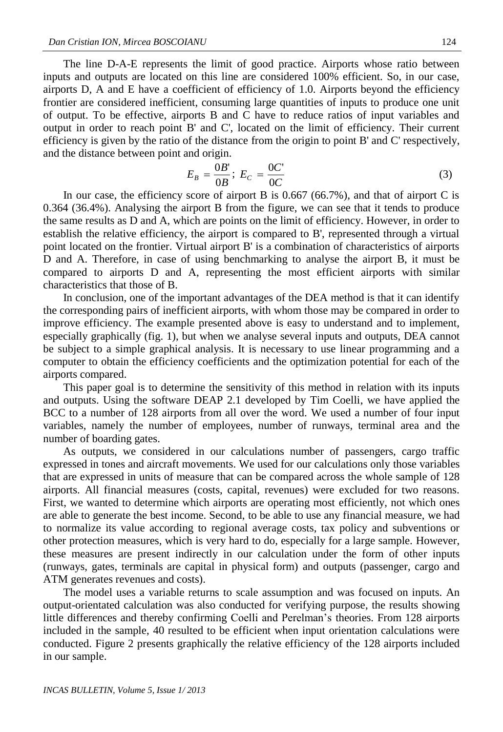The line D-A-E represents the limit of good practice. Airports whose ratio between inputs and outputs are located on this line are considered 100% efficient. So, in our case, airports D, A and E have a coefficient of efficiency of 1.0. Airports beyond the efficiency frontier are considered inefficient, consuming large quantities of inputs to produce one unit of output. To be effective, airports B and C have to reduce ratios of input variables and output in order to reach point B' and C', located on the limit of efficiency. Their current efficiency is given by the ratio of the distance from the origin to point B' and C' respectively, and the distance between point and origin.

$$
E_B = \frac{0B'}{0B}; \ E_C = \frac{0C'}{0C} \tag{3}
$$

In our case, the efficiency score of airport B is 0.667 (66.7%), and that of airport C is 0.364 (36.4%). Analysing the airport B from the figure, we can see that it tends to produce the same results as D and A, which are points on the limit of efficiency. However, in order to establish the relative efficiency, the airport is compared to B', represented through a virtual point located on the frontier. Virtual airport B' is a combination of characteristics of airports D and A. Therefore, in case of using benchmarking to analyse the airport B, it must be compared to airports D and A, representing the most efficient airports with similar characteristics that those of B.

In conclusion, one of the important advantages of the DEA method is that it can identify the corresponding pairs of inefficient airports, with whom those may be compared in order to improve efficiency. The example presented above is easy to understand and to implement, especially graphically (fig. 1), but when we analyse several inputs and outputs, DEA cannot be subject to a simple graphical analysis. It is necessary to use linear programming and a computer to obtain the efficiency coefficients and the optimization potential for each of the airports compared.

This paper goal is to determine the sensitivity of this method in relation with its inputs and outputs. Using the software DEAP 2.1 developed by Tim Coelli, we have applied the BCC to a number of 128 airports from all over the word. We used a number of four input variables, namely the number of employees, number of runways, terminal area and the number of boarding gates.

As outputs, we considered in our calculations number of passengers, cargo traffic expressed in tones and aircraft movements. We used for our calculations only those variables that are expressed in units of measure that can be compared across the whole sample of 128 airports. All financial measures (costs, capital, revenues) were excluded for two reasons. First, we wanted to determine which airports are operating most efficiently, not which ones are able to generate the best income. Second, to be able to use any financial measure, we had to normalize its value according to regional average costs, tax policy and subventions or other protection measures, which is very hard to do, especially for a large sample. However, these measures are present indirectly in our calculation under the form of other inputs (runways, gates, terminals are capital in physical form) and outputs (passenger, cargo and ATM generates revenues and costs).

The model uses a variable returns to scale assumption and was focused on inputs. An output-orientated calculation was also conducted for verifying purpose, the results showing little differences and thereby confirming Coelli and Perelman's theories. From 128 airports included in the sample, 40 resulted to be efficient when input orientation calculations were conducted. Figure 2 presents graphically the relative efficiency of the 128 airports included in our sample.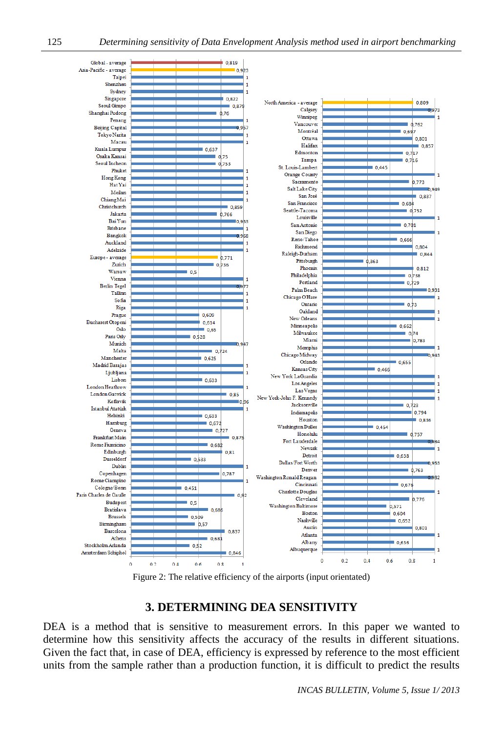

Figure 2: The relative efficiency of the airports (input orientated)

# **3. DETERMINING DEA SENSITIVITY**

DEA is a method that is sensitive to measurement errors. In this paper we wanted to determine how this sensitivity affects the accuracy of the results in different situations. Given the fact that, in case of DEA, efficiency is expressed by reference to the most efficient units from the sample rather than a production function, it is difficult to predict the results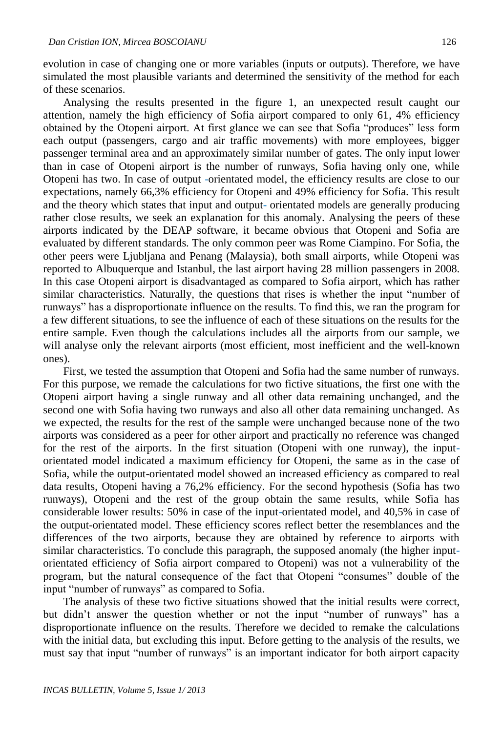evolution in case of changing one or more variables (inputs or outputs). Therefore, we have simulated the most plausible variants and determined the sensitivity of the method for each of these scenarios.

Analysing the results presented in the figure 1, an unexpected result caught our attention, namely the high efficiency of Sofia airport compared to only 61, 4% efficiency obtained by the Otopeni airport. At first glance we can see that Sofia "produces" less form each output (passengers, cargo and air traffic movements) with more employees, bigger passenger terminal area and an approximately similar number of gates. The only input lower than in case of Otopeni airport is the number of runways, Sofia having only one, while Otopeni has two. In case of output -orientated model, the efficiency results are close to our expectations, namely 66,3% efficiency for Otopeni and 49% efficiency for Sofia. This result and the theory which states that input and output- orientated models are generally producing rather close results, we seek an explanation for this anomaly. Analysing the peers of these airports indicated by the DEAP software, it became obvious that Otopeni and Sofia are evaluated by different standards. The only common peer was Rome Ciampino. For Sofia, the other peers were Ljubljana and Penang (Malaysia), both small airports, while Otopeni was reported to Albuquerque and Istanbul, the last airport having 28 million passengers in 2008. In this case Otopeni airport is disadvantaged as compared to Sofia airport, which has rather similar characteristics. Naturally, the questions that rises is whether the input "number of runways" has a disproportionate influence on the results. To find this, we ran the program for a few different situations, to see the influence of each of these situations on the results for the entire sample. Even though the calculations includes all the airports from our sample, we will analyse only the relevant airports (most efficient, most inefficient and the well-known ones).

First, we tested the assumption that Otopeni and Sofia had the same number of runways. For this purpose, we remade the calculations for two fictive situations, the first one with the Otopeni airport having a single runway and all other data remaining unchanged, and the second one with Sofia having two runways and also all other data remaining unchanged. As we expected, the results for the rest of the sample were unchanged because none of the two airports was considered as a peer for other airport and practically no reference was changed for the rest of the airports. In the first situation (Otopeni with one runway), the inputorientated model indicated a maximum efficiency for Otopeni, the same as in the case of Sofia, while the output-orientated model showed an increased efficiency as compared to real data results, Otopeni having a 76,2% efficiency. For the second hypothesis (Sofia has two runways), Otopeni and the rest of the group obtain the same results, while Sofia has considerable lower results: 50% in case of the input-orientated model, and 40,5% in case of the output-orientated model. These efficiency scores reflect better the resemblances and the differences of the two airports, because they are obtained by reference to airports with similar characteristics. To conclude this paragraph, the supposed anomaly (the higher inputorientated efficiency of Sofia airport compared to Otopeni) was not a vulnerability of the program, but the natural consequence of the fact that Otopeni "consumes" double of the input "number of runways" as compared to Sofia.

The analysis of these two fictive situations showed that the initial results were correct, but didn't answer the question whether or not the input "number of runways" has a disproportionate influence on the results. Therefore we decided to remake the calculations with the initial data, but excluding this input. Before getting to the analysis of the results, we must say that input "number of runways" is an important indicator for both airport capacity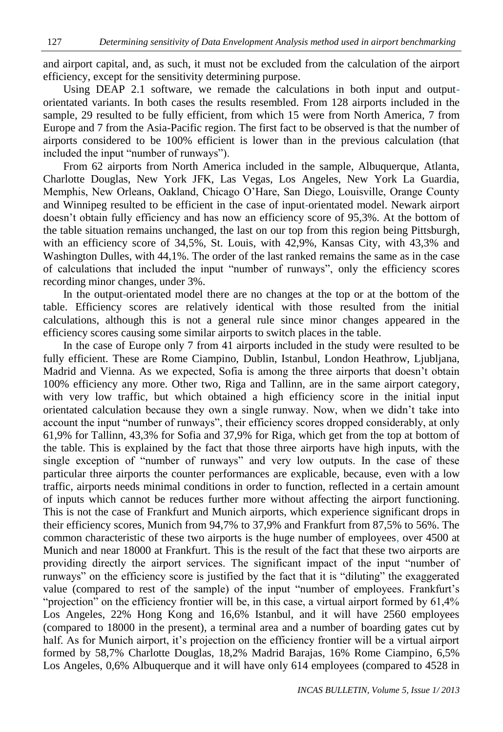and airport capital, and, as such, it must not be excluded from the calculation of the airport efficiency, except for the sensitivity determining purpose.

Using DEAP 2.1 software, we remade the calculations in both input and outputorientated variants. In both cases the results resembled. From 128 airports included in the sample, 29 resulted to be fully efficient, from which 15 were from North America, 7 from Europe and 7 from the Asia-Pacific region. The first fact to be observed is that the number of airports considered to be 100% efficient is lower than in the previous calculation (that included the input "number of runways").

From 62 airports from North America included in the sample, Albuquerque, Atlanta, Charlotte Douglas, New York JFK, Las Vegas, Los Angeles, New York La Guardia, Memphis, New Orleans, Oakland, Chicago O'Hare, San Diego, Louisville, Orange County and Winnipeg resulted to be efficient in the case of input-orientated model. Newark airport doesn't obtain fully efficiency and has now an efficiency score of 95,3%. At the bottom of the table situation remains unchanged, the last on our top from this region being Pittsburgh, with an efficiency score of 34,5%, St. Louis, with 42,9%, Kansas City, with 43,3% and Washington Dulles, with 44,1%. The order of the last ranked remains the same as in the case of calculations that included the input "number of runways", only the efficiency scores recording minor changes, under 3%.

In the output-orientated model there are no changes at the top or at the bottom of the table. Efficiency scores are relatively identical with those resulted from the initial calculations, although this is not a general rule since minor changes appeared in the efficiency scores causing some similar airports to switch places in the table.

In the case of Europe only 7 from 41 airports included in the study were resulted to be fully efficient. These are Rome Ciampino, Dublin, Istanbul, London Heathrow, Ljubljana, Madrid and Vienna. As we expected, Sofia is among the three airports that doesn't obtain 100% efficiency any more. Other two, Riga and Tallinn, are in the same airport category, with very low traffic, but which obtained a high efficiency score in the initial input orientated calculation because they own a single runway. Now, when we didn't take into account the input "number of runways", their efficiency scores dropped considerably, at only 61,9% for Tallinn, 43,3% for Sofia and 37,9% for Riga, which get from the top at bottom of the table. This is explained by the fact that those three airports have high inputs, with the single exception of "number of runways" and very low outputs. In the case of these particular three airports the counter performances are explicable, because, even with a low traffic, airports needs minimal conditions in order to function, reflected in a certain amount of inputs which cannot be reduces further more without affecting the airport functioning. This is not the case of Frankfurt and Munich airports, which experience significant drops in their efficiency scores, Munich from 94,7% to 37,9% and Frankfurt from 87,5% to 56%. The common characteristic of these two airports is the huge number of employees, over 4500 at Munich and near 18000 at Frankfurt. This is the result of the fact that these two airports are providing directly the airport services. The significant impact of the input "number of runways" on the efficiency score is justified by the fact that it is "diluting" the exaggerated value (compared to rest of the sample) of the input "number of employees. Frankfurt's "projection" on the efficiency frontier will be, in this case, a virtual airport formed by 61,4% Los Angeles, 22% Hong Kong and 16,6% Istanbul, and it will have 2560 employees (compared to 18000 in the present), a terminal area and a number of boarding gates cut by half. As for Munich airport, it's projection on the efficiency frontier will be a virtual airport formed by 58,7% Charlotte Douglas, 18,2% Madrid Barajas, 16% Rome Ciampino, 6,5% Los Angeles, 0,6% Albuquerque and it will have only 614 employees (compared to 4528 in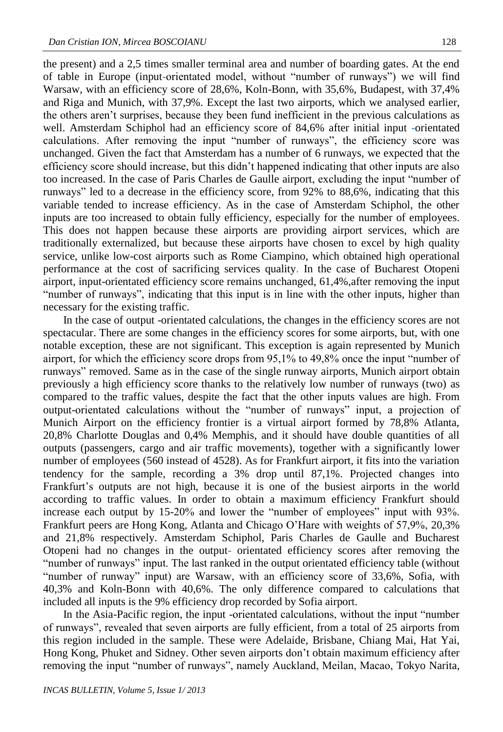the present) and a 2,5 times smaller terminal area and number of boarding gates. At the end of table in Europe (input-orientated model, without "number of runways") we will find Warsaw, with an efficiency score of 28,6%, Koln-Bonn, with 35,6%, Budapest, with 37,4% and Riga and Munich, with 37,9%. Except the last two airports, which we analysed earlier, the others aren't surprises, because they been fund inefficient in the previous calculations as well. Amsterdam Schiphol had an efficiency score of 84,6% after initial input -orientated calculations. After removing the input "number of runways", the efficiency score was unchanged. Given the fact that Amsterdam has a number of 6 runways, we expected that the efficiency score should increase, but this didn't happened indicating that other inputs are also too increased. In the case of Paris Charles de Gaulle airport, excluding the input "number of runways" led to a decrease in the efficiency score, from 92% to 88,6%, indicating that this variable tended to increase efficiency. As in the case of Amsterdam Schiphol, the other inputs are too increased to obtain fully efficiency, especially for the number of employees. This does not happen because these airports are providing airport services, which are traditionally externalized, but because these airports have chosen to excel by high quality service, unlike low-cost airports such as Rome Ciampino, which obtained high operational performance at the cost of sacrificing services quality. In the case of Bucharest Otopeni airport, input-orientated efficiency score remains unchanged, 61,4%,after removing the input "number of runways", indicating that this input is in line with the other inputs, higher than necessary for the existing traffic.

In the case of output -orientated calculations, the changes in the efficiency scores are not spectacular. There are some changes in the efficiency scores for some airports, but, with one notable exception, these are not significant. This exception is again represented by Munich airport, for which the efficiency score drops from 95,1% to 49,8% once the input "number of runways" removed. Same as in the case of the single runway airports, Munich airport obtain previously a high efficiency score thanks to the relatively low number of runways (two) as compared to the traffic values, despite the fact that the other inputs values are high. From output-orientated calculations without the "number of runways" input, a projection of Munich Airport on the efficiency frontier is a virtual airport formed by 78,8% Atlanta, 20,8% Charlotte Douglas and 0,4% Memphis, and it should have double quantities of all outputs (passengers, cargo and air traffic movements), together with a significantly lower number of employees (560 instead of 4528). As for Frankfurt airport, it fits into the variation tendency for the sample, recording a 3% drop until 87,1%. Projected changes into Frankfurt's outputs are not high, because it is one of the busiest airports in the world according to traffic values. In order to obtain a maximum efficiency Frankfurt should increase each output by 15-20% and lower the "number of employees" input with 93%. Frankfurt peers are Hong Kong, Atlanta and Chicago O'Hare with weights of 57,9%, 20,3% and 21,8% respectively. Amsterdam Schiphol, Paris Charles de Gaulle and Bucharest Otopeni had no changes in the output- orientated efficiency scores after removing the "number of runways" input. The last ranked in the output orientated efficiency table (without "number of runway" input) are Warsaw, with an efficiency score of 33,6%, Sofia, with 40,3% and Koln-Bonn with 40,6%. The only difference compared to calculations that included all inputs is the 9% efficiency drop recorded by Sofia airport.

In the Asia-Pacific region, the input -orientated calculations, without the input "number of runways", revealed that seven airports are fully efficient, from a total of 25 airports from this region included in the sample. These were Adelaide, Brisbane, Chiang Mai, Hat Yai, Hong Kong, Phuket and Sidney. Other seven airports don't obtain maximum efficiency after removing the input "number of runways", namely Auckland, Meilan, Macao, Tokyo Narita,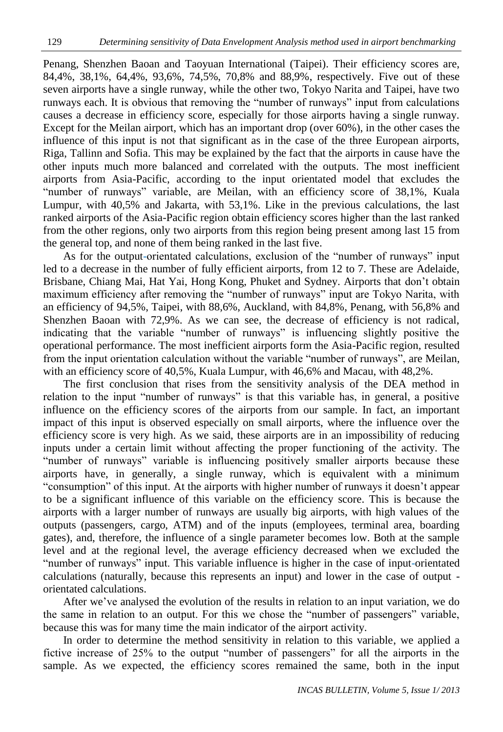Penang, Shenzhen Baoan and Taoyuan International (Taipei). Their efficiency scores are, 84,4%, 38,1%, 64,4%, 93,6%, 74,5%, 70,8% and 88,9%, respectively. Five out of these seven airports have a single runway, while the other two, Tokyo Narita and Taipei, have two runways each. It is obvious that removing the "number of runways" input from calculations causes a decrease in efficiency score, especially for those airports having a single runway. Except for the Meilan airport, which has an important drop (over 60%), in the other cases the influence of this input is not that significant as in the case of the three European airports, Riga, Tallinn and Sofia. This may be explained by the fact that the airports in cause have the other inputs much more balanced and correlated with the outputs. The most inefficient airports from Asia-Pacific, according to the input orientated model that excludes the "number of runways" variable, are Meilan, with an efficiency score of 38,1%, Kuala Lumpur, with 40,5% and Jakarta, with 53,1%. Like in the previous calculations, the last ranked airports of the Asia-Pacific region obtain efficiency scores higher than the last ranked from the other regions, only two airports from this region being present among last 15 from the general top, and none of them being ranked in the last five.

As for the output-orientated calculations, exclusion of the "number of runways" input led to a decrease in the number of fully efficient airports, from 12 to 7. These are Adelaide, Brisbane, Chiang Mai, Hat Yai, Hong Kong, Phuket and Sydney. Airports that don't obtain maximum efficiency after removing the "number of runways" input are Tokyo Narita, with an efficiency of 94,5%, Taipei, with 88,6%, Auckland, with 84,8%, Penang, with 56,8% and Shenzhen Baoan with 72,9%. As we can see, the decrease of efficiency is not radical, indicating that the variable "number of runways" is influencing slightly positive the operational performance. The most inefficient airports form the Asia-Pacific region, resulted from the input orientation calculation without the variable "number of runways", are Meilan, with an efficiency score of 40,5%, Kuala Lumpur, with 46,6% and Macau, with 48,2%.

The first conclusion that rises from the sensitivity analysis of the DEA method in relation to the input "number of runways" is that this variable has, in general, a positive influence on the efficiency scores of the airports from our sample. In fact, an important impact of this input is observed especially on small airports, where the influence over the efficiency score is very high. As we said, these airports are in an impossibility of reducing inputs under a certain limit without affecting the proper functioning of the activity. The "number of runways" variable is influencing positively smaller airports because these airports have, in generally, a single runway, which is equivalent with a minimum "consumption" of this input. At the airports with higher number of runways it doesn't appear to be a significant influence of this variable on the efficiency score. This is because the airports with a larger number of runways are usually big airports, with high values of the outputs (passengers, cargo, ATM) and of the inputs (employees, terminal area, boarding gates), and, therefore, the influence of a single parameter becomes low. Both at the sample level and at the regional level, the average efficiency decreased when we excluded the "number of runways" input. This variable influence is higher in the case of input-orientated calculations (naturally, because this represents an input) and lower in the case of output orientated calculations.

After we've analysed the evolution of the results in relation to an input variation, we do the same in relation to an output. For this we chose the "number of passengers" variable, because this was for many time the main indicator of the airport activity.

In order to determine the method sensitivity in relation to this variable, we applied a fictive increase of 25% to the output "number of passengers" for all the airports in the sample. As we expected, the efficiency scores remained the same, both in the input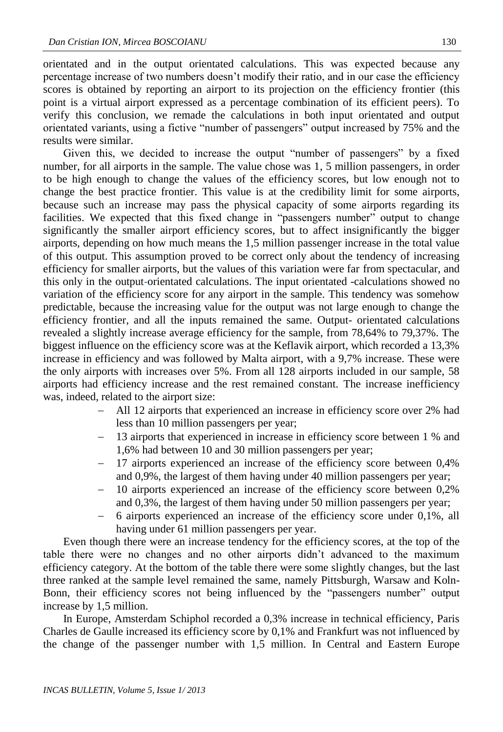orientated and in the output orientated calculations. This was expected because any percentage increase of two numbers doesn't modify their ratio, and in our case the efficiency scores is obtained by reporting an airport to its projection on the efficiency frontier (this point is a virtual airport expressed as a percentage combination of its efficient peers). To verify this conclusion, we remade the calculations in both input orientated and output orientated variants, using a fictive "number of passengers" output increased by 75% and the results were similar.

Given this, we decided to increase the output "number of passengers" by a fixed number, for all airports in the sample. The value chose was 1, 5 million passengers, in order to be high enough to change the values of the efficiency scores, but low enough not to change the best practice frontier. This value is at the credibility limit for some airports, because such an increase may pass the physical capacity of some airports regarding its facilities. We expected that this fixed change in "passengers number" output to change significantly the smaller airport efficiency scores, but to affect insignificantly the bigger airports, depending on how much means the 1,5 million passenger increase in the total value of this output. This assumption proved to be correct only about the tendency of increasing efficiency for smaller airports, but the values of this variation were far from spectacular, and this only in the output-orientated calculations. The input orientated -calculations showed no variation of the efficiency score for any airport in the sample. This tendency was somehow predictable, because the increasing value for the output was not large enough to change the efficiency frontier, and all the inputs remained the same. Output- orientated calculations revealed a slightly increase average efficiency for the sample, from 78,64% to 79,37%. The biggest influence on the efficiency score was at the Keflavik airport, which recorded a 13,3% increase in efficiency and was followed by Malta airport, with a 9,7% increase. These were the only airports with increases over 5%. From all 128 airports included in our sample, 58 airports had efficiency increase and the rest remained constant. The increase inefficiency was, indeed, related to the airport size:

- All 12 airports that experienced an increase in efficiency score over 2% had less than 10 million passengers per year;
- 13 airports that experienced in increase in efficiency score between 1 % and 1,6% had between 10 and 30 million passengers per year;
- 17 airports experienced an increase of the efficiency score between 0,4% and 0,9%, the largest of them having under 40 million passengers per year;
- 10 airports experienced an increase of the efficiency score between 0,2% and 0,3%, the largest of them having under 50 million passengers per year;
- 6 airports experienced an increase of the efficiency score under 0,1%, all having under 61 million passengers per year.

Even though there were an increase tendency for the efficiency scores, at the top of the table there were no changes and no other airports didn't advanced to the maximum efficiency category. At the bottom of the table there were some slightly changes, but the last three ranked at the sample level remained the same, namely Pittsburgh, Warsaw and Koln-Bonn, their efficiency scores not being influenced by the "passengers number" output increase by 1,5 million.

In Europe, Amsterdam Schiphol recorded a 0,3% increase in technical efficiency, Paris Charles de Gaulle increased its efficiency score by 0,1% and Frankfurt was not influenced by the change of the passenger number with 1,5 million. In Central and Eastern Europe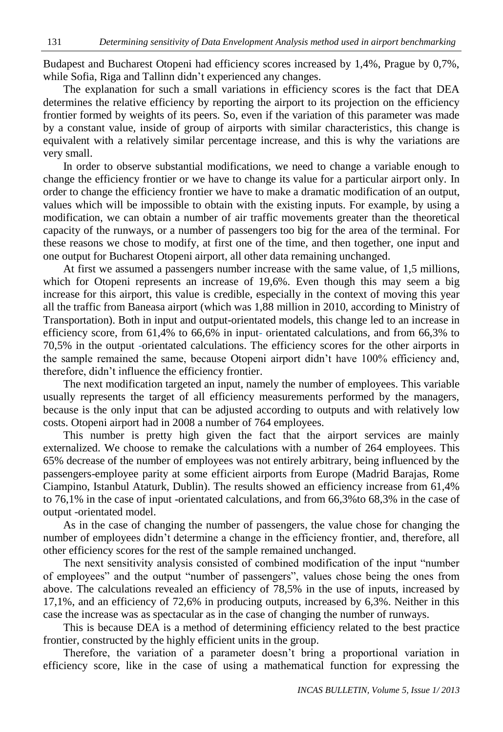Budapest and Bucharest Otopeni had efficiency scores increased by 1,4%, Prague by 0,7%, while Sofia, Riga and Tallinn didn't experienced any changes.

The explanation for such a small variations in efficiency scores is the fact that DEA determines the relative efficiency by reporting the airport to its projection on the efficiency frontier formed by weights of its peers. So, even if the variation of this parameter was made by a constant value, inside of group of airports with similar characteristics, this change is equivalent with a relatively similar percentage increase, and this is why the variations are very small.

In order to observe substantial modifications, we need to change a variable enough to change the efficiency frontier or we have to change its value for a particular airport only. In order to change the efficiency frontier we have to make a dramatic modification of an output, values which will be impossible to obtain with the existing inputs. For example, by using a modification, we can obtain a number of air traffic movements greater than the theoretical capacity of the runways, or a number of passengers too big for the area of the terminal. For these reasons we chose to modify, at first one of the time, and then together, one input and one output for Bucharest Otopeni airport, all other data remaining unchanged.

At first we assumed a passengers number increase with the same value, of 1,5 millions, which for Otopeni represents an increase of 19,6%. Even though this may seem a big increase for this airport, this value is credible, especially in the context of moving this year all the traffic from Baneasa airport (which was 1,88 million in 2010, according to Ministry of Transportation). Both in input and output-orientated models, this change led to an increase in efficiency score, from 61,4% to 66,6% in input- orientated calculations, and from 66,3% to 70,5% in the output -orientated calculations. The efficiency scores for the other airports in the sample remained the same, because Otopeni airport didn't have 100% efficiency and, therefore, didn't influence the efficiency frontier.

The next modification targeted an input, namely the number of employees. This variable usually represents the target of all efficiency measurements performed by the managers, because is the only input that can be adjusted according to outputs and with relatively low costs. Otopeni airport had in 2008 a number of 764 employees.

This number is pretty high given the fact that the airport services are mainly externalized. We choose to remake the calculations with a number of 264 employees. This 65% decrease of the number of employees was not entirely arbitrary, being influenced by the passengers-employee parity at some efficient airports from Europe (Madrid Barajas, Rome Ciampino, Istanbul Ataturk, Dublin). The results showed an efficiency increase from 61,4% to 76,1% in the case of input -orientated calculations, and from 66,3%to 68,3% in the case of output -orientated model.

As in the case of changing the number of passengers, the value chose for changing the number of employees didn't determine a change in the efficiency frontier, and, therefore, all other efficiency scores for the rest of the sample remained unchanged.

The next sensitivity analysis consisted of combined modification of the input "number of employees" and the output "number of passengers", values chose being the ones from above. The calculations revealed an efficiency of 78,5% in the use of inputs, increased by 17,1%, and an efficiency of 72,6% in producing outputs, increased by 6,3%. Neither in this case the increase was as spectacular as in the case of changing the number of runways.

This is because DEA is a method of determining efficiency related to the best practice frontier, constructed by the highly efficient units in the group.

Therefore, the variation of a parameter doesn't bring a proportional variation in efficiency score, like in the case of using a mathematical function for expressing the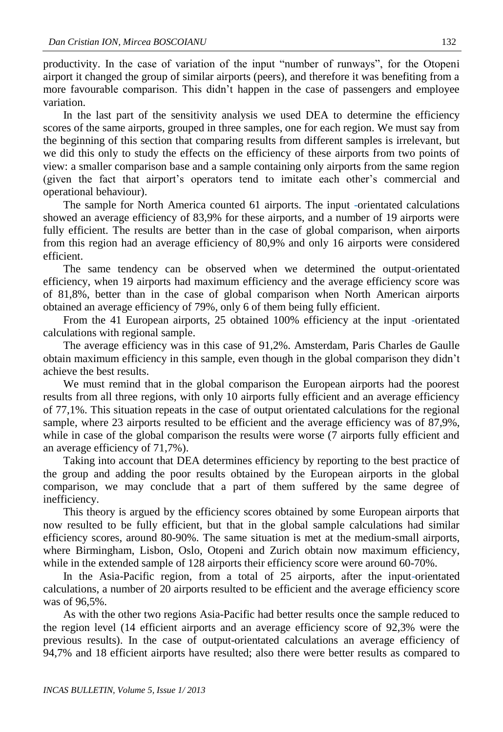productivity. In the case of variation of the input "number of runways", for the Otopeni airport it changed the group of similar airports (peers), and therefore it was benefiting from a more favourable comparison. This didn't happen in the case of passengers and employee variation.

In the last part of the sensitivity analysis we used DEA to determine the efficiency scores of the same airports, grouped in three samples, one for each region. We must say from the beginning of this section that comparing results from different samples is irrelevant, but we did this only to study the effects on the efficiency of these airports from two points of view: a smaller comparison base and a sample containing only airports from the same region (given the fact that airport's operators tend to imitate each other's commercial and operational behaviour).

The sample for North America counted 61 airports. The input -orientated calculations showed an average efficiency of 83,9% for these airports, and a number of 19 airports were fully efficient. The results are better than in the case of global comparison, when airports from this region had an average efficiency of 80,9% and only 16 airports were considered efficient.

The same tendency can be observed when we determined the output-orientated efficiency, when 19 airports had maximum efficiency and the average efficiency score was of 81,8%, better than in the case of global comparison when North American airports obtained an average efficiency of 79%, only 6 of them being fully efficient.

From the 41 European airports, 25 obtained 100% efficiency at the input -orientated calculations with regional sample.

The average efficiency was in this case of 91,2%. Amsterdam, Paris Charles de Gaulle obtain maximum efficiency in this sample, even though in the global comparison they didn't achieve the best results.

We must remind that in the global comparison the European airports had the poorest results from all three regions, with only 10 airports fully efficient and an average efficiency of 77,1%. This situation repeats in the case of output orientated calculations for the regional sample, where 23 airports resulted to be efficient and the average efficiency was of 87,9%, while in case of the global comparison the results were worse (7 airports fully efficient and an average efficiency of 71,7%).

Taking into account that DEA determines efficiency by reporting to the best practice of the group and adding the poor results obtained by the European airports in the global comparison, we may conclude that a part of them suffered by the same degree of inefficiency.

This theory is argued by the efficiency scores obtained by some European airports that now resulted to be fully efficient, but that in the global sample calculations had similar efficiency scores, around 80-90%. The same situation is met at the medium-small airports, where Birmingham, Lisbon, Oslo, Otopeni and Zurich obtain now maximum efficiency, while in the extended sample of 128 airports their efficiency score were around 60-70%.

In the Asia-Pacific region, from a total of 25 airports, after the input-orientated calculations, a number of 20 airports resulted to be efficient and the average efficiency score was of 96,5%.

As with the other two regions Asia-Pacific had better results once the sample reduced to the region level (14 efficient airports and an average efficiency score of 92,3% were the previous results). In the case of output-orientated calculations an average efficiency of 94,7% and 18 efficient airports have resulted; also there were better results as compared to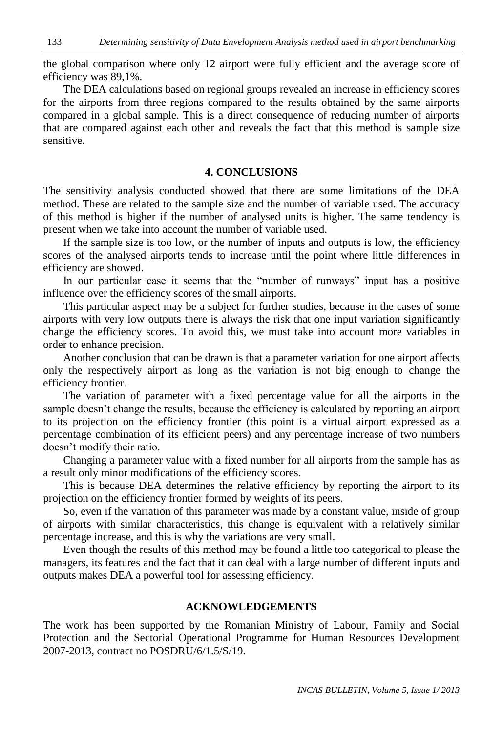the global comparison where only 12 airport were fully efficient and the average score of efficiency was 89,1%.

The DEA calculations based on regional groups revealed an increase in efficiency scores for the airports from three regions compared to the results obtained by the same airports compared in a global sample. This is a direct consequence of reducing number of airports that are compared against each other and reveals the fact that this method is sample size sensitive.

## **4. CONCLUSIONS**

The sensitivity analysis conducted showed that there are some limitations of the DEA method. These are related to the sample size and the number of variable used. The accuracy of this method is higher if the number of analysed units is higher. The same tendency is present when we take into account the number of variable used.

If the sample size is too low, or the number of inputs and outputs is low, the efficiency scores of the analysed airports tends to increase until the point where little differences in efficiency are showed.

In our particular case it seems that the "number of runways" input has a positive influence over the efficiency scores of the small airports.

This particular aspect may be a subject for further studies, because in the cases of some airports with very low outputs there is always the risk that one input variation significantly change the efficiency scores. To avoid this, we must take into account more variables in order to enhance precision.

Another conclusion that can be drawn is that a parameter variation for one airport affects only the respectively airport as long as the variation is not big enough to change the efficiency frontier.

The variation of parameter with a fixed percentage value for all the airports in the sample doesn't change the results, because the efficiency is calculated by reporting an airport to its projection on the efficiency frontier (this point is a virtual airport expressed as a percentage combination of its efficient peers) and any percentage increase of two numbers doesn't modify their ratio.

Changing a parameter value with a fixed number for all airports from the sample has as a result only minor modifications of the efficiency scores.

This is because DEA determines the relative efficiency by reporting the airport to its projection on the efficiency frontier formed by weights of its peers.

So, even if the variation of this parameter was made by a constant value, inside of group of airports with similar characteristics, this change is equivalent with a relatively similar percentage increase, and this is why the variations are very small.

Even though the results of this method may be found a little too categorical to please the managers, its features and the fact that it can deal with a large number of different inputs and outputs makes DEA a powerful tool for assessing efficiency.

#### **ACKNOWLEDGEMENTS**

The work has been supported by the Romanian Ministry of Labour, Family and Social Protection and the Sectorial Operational Programme for Human Resources Development 2007-2013, contract no POSDRU/6/1.5/S/19.